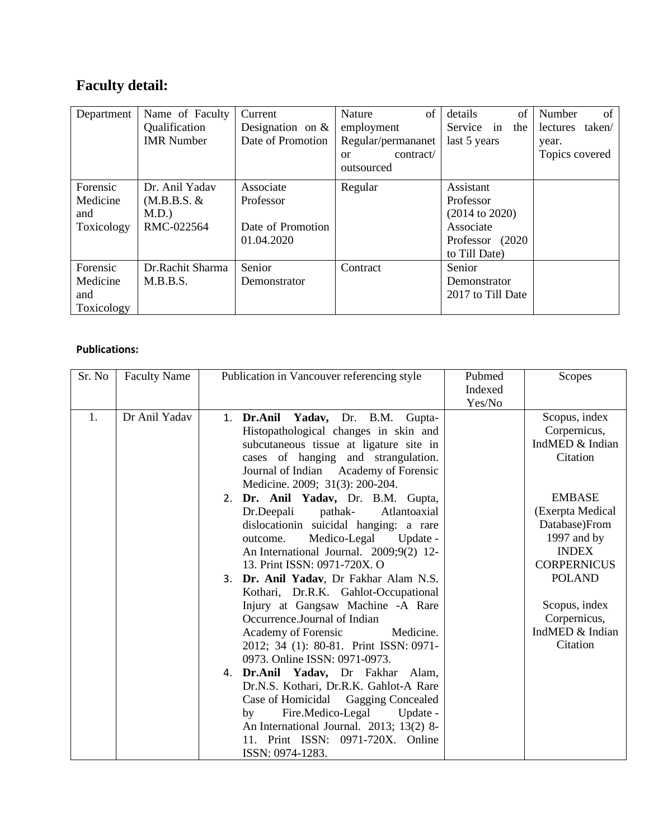## **Faculty detail:**

| Department                                | Name of Faculty<br>Qualification<br><b>IMR</b> Number   | Current<br>Designation on $&$<br>Date of Promotion        | of<br><b>Nature</b><br>employment<br>Regular/permananet | of<br>details<br>Service in<br>the<br>last 5 years                                                    | of<br>Number<br>taken/<br>lectures<br>year. |
|-------------------------------------------|---------------------------------------------------------|-----------------------------------------------------------|---------------------------------------------------------|-------------------------------------------------------------------------------------------------------|---------------------------------------------|
|                                           |                                                         |                                                           | contract<br>$\alpha$<br>outsourced                      |                                                                                                       | Topics covered                              |
| Forensic<br>Medicine<br>and<br>Toxicology | Dr. Anil Yadav<br>$(M.B.B.S. \&$<br>M.D.)<br>RMC-022564 | Associate<br>Professor<br>Date of Promotion<br>01.04.2020 | Regular                                                 | Assistant<br>Professor<br>$(2014 \text{ to } 2020)$<br>Associate<br>Professor (2020)<br>to Till Date) |                                             |
| Forensic<br>Medicine<br>and<br>Toxicology | Dr.Rachit Sharma<br>M.B.B.S.                            | Senior<br>Demonstrator                                    | Contract                                                | Senior<br>Demonstrator<br>2017 to Till Date                                                           |                                             |

## **Publications:**

| Sr. No | <b>Faculty Name</b> | Publication in Vancouver referencing style                                                                                                                                                                                                                         | Pubmed<br>Indexed<br>Yes/No | Scopes                                                                                                  |
|--------|---------------------|--------------------------------------------------------------------------------------------------------------------------------------------------------------------------------------------------------------------------------------------------------------------|-----------------------------|---------------------------------------------------------------------------------------------------------|
| 1.     | Dr Anil Yadav       | 1. Dr.Anil Yadav, Dr. B.M. Gupta-<br>Histopathological changes in skin and<br>subcutaneous tissue at ligature site in<br>cases of hanging and strangulation.<br>Journal of Indian Academy of Forensic<br>Medicine. 2009; 31(3): 200-204.                           |                             | Scopus, index<br>Corpernicus,<br>IndMED & Indian<br>Citation                                            |
|        |                     | 2. Dr. Anil Yadav, Dr. B.M. Gupta,<br>Atlantoaxial<br>Dr.Deepali<br>pathak-<br>dislocationin suicidal hanging: a rare<br>Medico-Legal Update -<br>outcome.<br>An International Journal. 2009;9(2) 12-<br>13. Print ISSN: 0971-720X. O                              |                             | <b>EMBASE</b><br>(Exerpta Medical<br>Database)From<br>1997 and by<br><b>INDEX</b><br><b>CORPERNICUS</b> |
|        |                     | 3. Dr. Anil Yadav, Dr Fakhar Alam N.S.<br>Kothari, Dr.R.K. Gahlot-Occupational<br>Injury at Gangsaw Machine -A Rare<br>Occurrence.Journal of Indian<br>Academy of Forensic<br>Medicine.<br>2012; 34 (1): 80-81. Print ISSN: 0971-<br>0973. Online ISSN: 0971-0973. |                             | <b>POLAND</b><br>Scopus, index<br>Corpernicus,<br>IndMED & Indian<br>Citation                           |
|        |                     | 4. Dr.Anil Yadav, Dr Fakhar Alam,<br>Dr.N.S. Kothari, Dr.R.K. Gahlot-A Rare<br>Case of Homicidal Gagging Concealed<br>Fire.Medico-Legal<br>Update -<br>by<br>An International Journal. 2013; 13(2) 8-<br>11. Print ISSN: 0971-720X. Online<br>ISSN: 0974-1283.     |                             |                                                                                                         |